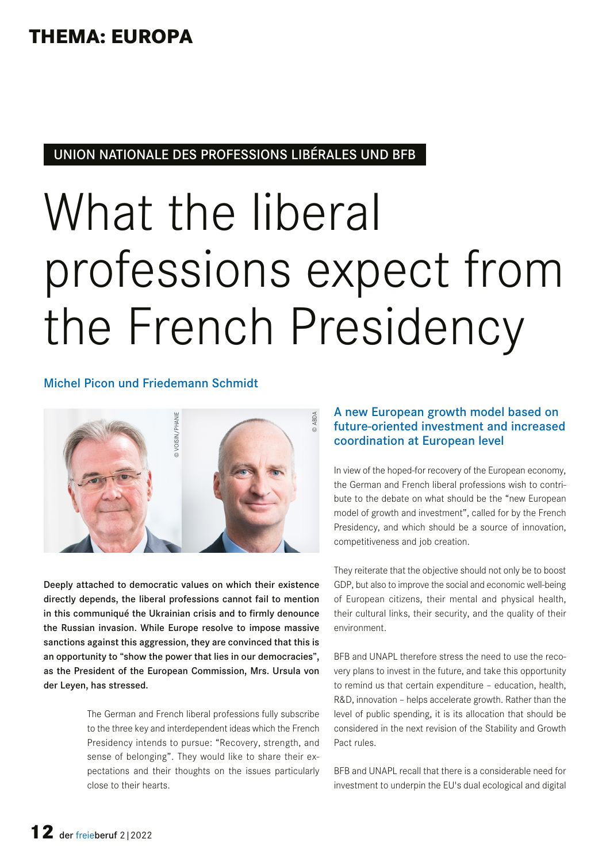## **THEMA: EUROPA**

### UNION NATIONALE DES PROFESSIONS LIBÉRALES UND BFB

# What the liberal professions expect from the French Presidency

#### Michel Picon und Friedemann Schmidt



Deeply attached to democratic values on which their existence directly depends, the liberal professions cannot fail to mention in this communiqué the Ukrainian crisis and to firmly denounce the Russian invasion. While Europe resolve to impose massive sanctions against this aggression, they are convinced that this is an opportunity to "show the power that lies in our democracies", as the President of the European Commission, Mrs. Ursula von der Leyen, has stressed.

> The German and French liberal professions fully subscribe to the three key and interdependent ideas which the French Presidency intends to pursue: "Recovery, strength, and sense of belonging". They would like to share their expectations and their thoughts on the issues particularly close to their hearts.

#### A new European growth model based on future-oriented investment and increased coordination at European level

In view of the hoped-for recovery of the European economy, the German and French liberal professions wish to contribute to the debate on what should be the "new European model of growth and investment", called for by the French Presidency, and which should be a source of innovation, competitiveness and job creation.

They reiterate that the objective should not only be to boost GDP, but also to improve the social and economic well-being of European citizens, their mental and physical health, their cultural links, their security, and the quality of their environment.

BFB and UNAPL therefore stress the need to use the recovery plans to invest in the future, and take this opportunity to remind us that certain expenditure – education, health, R&D, innovation – helps accelerate growth. Rather than the level of public spending, it is its allocation that should be considered in the next revision of the Stability and Growth Pact rules.

BFB and UNAPL recall that there is a considerable need for investment to underpin the EU's dual ecological and digital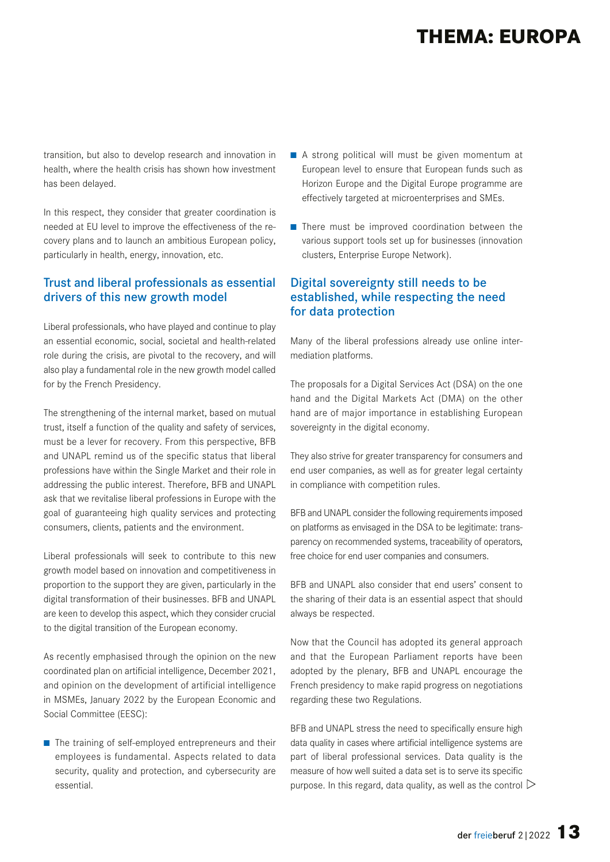## **THEMA: EUROPA**

transition, but also to develop research and innovation in health, where the health crisis has shown how investment has been delayed.

In this respect, they consider that greater coordination is needed at EU level to improve the effectiveness of the recovery plans and to launch an ambitious European policy, particularly in health, energy, innovation, etc.

#### Trust and liberal professionals as essential drivers of this new growth model

Liberal professionals, who have played and continue to play an essential economic, social, societal and health-related role during the crisis, are pivotal to the recovery, and will also play a fundamental role in the new growth model called for by the French Presidency.

The strengthening of the internal market, based on mutual trust, itself a function of the quality and safety of services, must be a lever for recovery. From this perspective, BFB and UNAPL remind us of the specific status that liberal professions have within the Single Market and their role in addressing the public interest. Therefore, BFB and UNAPL ask that we revitalise liberal professions in Europe with the goal of guaranteeing high quality services and protecting consumers, clients, patients and the environment.

Liberal professionals will seek to contribute to this new growth model based on innovation and competitiveness in proportion to the support they are given, particularly in the digital transformation of their businesses. BFB and UNAPL are keen to develop this aspect, which they consider crucial to the digital transition of the European economy.

As recently emphasised through the opinion on the new coordinated plan on artificial intelligence, December 2021, and opinion on the development of artificial intelligence in MSMEs, January 2022 by the European Economic and Social Committee (EESC):

■ The training of self-employed entrepreneurs and their employees is fundamental. Aspects related to data security, quality and protection, and cybersecurity are essential.

- A strong political will must be given momentum at European level to ensure that European funds such as Horizon Europe and the Digital Europe programme are effectively targeted at microenterprises and SMEs.
- There must be improved coordination between the various support tools set up for businesses (innovation clusters, Enterprise Europe Network).

#### Digital sovereignty still needs to be established, while respecting the need for data protection

Many of the liberal professions already use online intermediation platforms.

The proposals for a Digital Services Act (DSA) on the one hand and the Digital Markets Act (DMA) on the other hand are of major importance in establishing European sovereignty in the digital economy.

They also strive for greater transparency for consumers and end user companies, as well as for greater legal certainty in compliance with competition rules.

BFB and UNAPL consider the following requirements imposed on platforms as envisaged in the DSA to be legitimate: transparency on recommended systems, traceability of operators, free choice for end user companies and consumers.

BFB and UNAPL also consider that end users' consent to the sharing of their data is an essential aspect that should always be respected.

Now that the Council has adopted its general approach and that the European Parliament reports have been adopted by the plenary, BFB and UNAPL encourage the French presidency to make rapid progress on negotiations regarding these two Regulations.

BFB and UNAPL stress the need to specifically ensure high data quality in cases where artificial intelligence systems are part of liberal professional services. Data quality is the measure of how well suited a data set is to serve its specific purpose. In this regard, data quality, as well as the control  $\triangleright$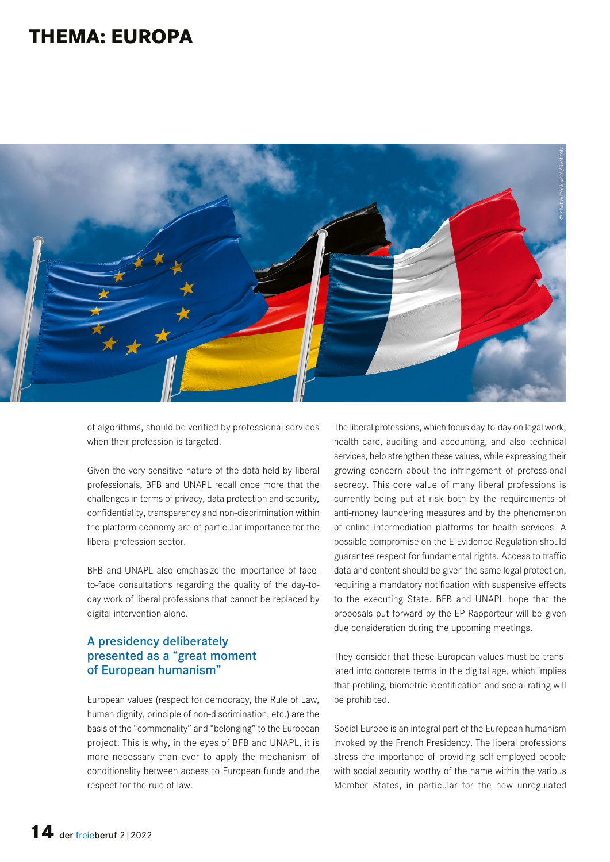## **THEMA: EUROPA**



of algorithms, should be verified by professional services when their profession is targeted.

Given the very sensitive nature of the data held by liberal professionals, BFB and UNAPL recall once more that the challenges in terms of privacy, data protection and security, confidentiality, transparency and non-discrimination within the platform economy are of particular importance for the liberal profession sector.

BFB and UNAPL also emphasize the importance of faceto-face consultations regarding the quality of the day-today work of liberal professions that cannot be replaced by digital intervention alone.

#### A presidency deliberately presented as a "great moment of European humanism"

European values (respect for democracy, the Rule of Law, human dignity, principle of non-discrimination, etc.) are the basis of the "commonality" and "belonging" to the European project. This is why, in the eyes of BFB and UNAPL, it is more necessary than ever to apply the mechanism of conditionality between access to European funds and the respect for the rule of law.

The liberal professions, which focus day-to-day on legal work, health care, auditing and accounting, and also technical services, help strengthen these values, while expressing their growing concern about the infringement of professional secrecy. This core value of many liberal professions is currently being put at risk both by the requirements of anti-money laundering measures and by the phenomenon of online intermediation platforms for health services. A possible compromise on the E-Evidence Regulation should guarantee respect for fundamental rights. Access to traffic data and content should be given the same legal protection, requiring a mandatory notification with suspensive effects to the executing State. BFB and UNAPL hope that the proposals put forward by the EP Rapporteur will be given due consideration during the upcoming meetings.

They consider that these European values must be translated into concrete terms in the digital age, which implies that profiling, biometric identification and social rating will be prohibited.

Social Europe is an integral part of the European humanism invoked by the French Presidency. The liberal professions stress the importance of providing self-employed people with social security worthy of the name within the various